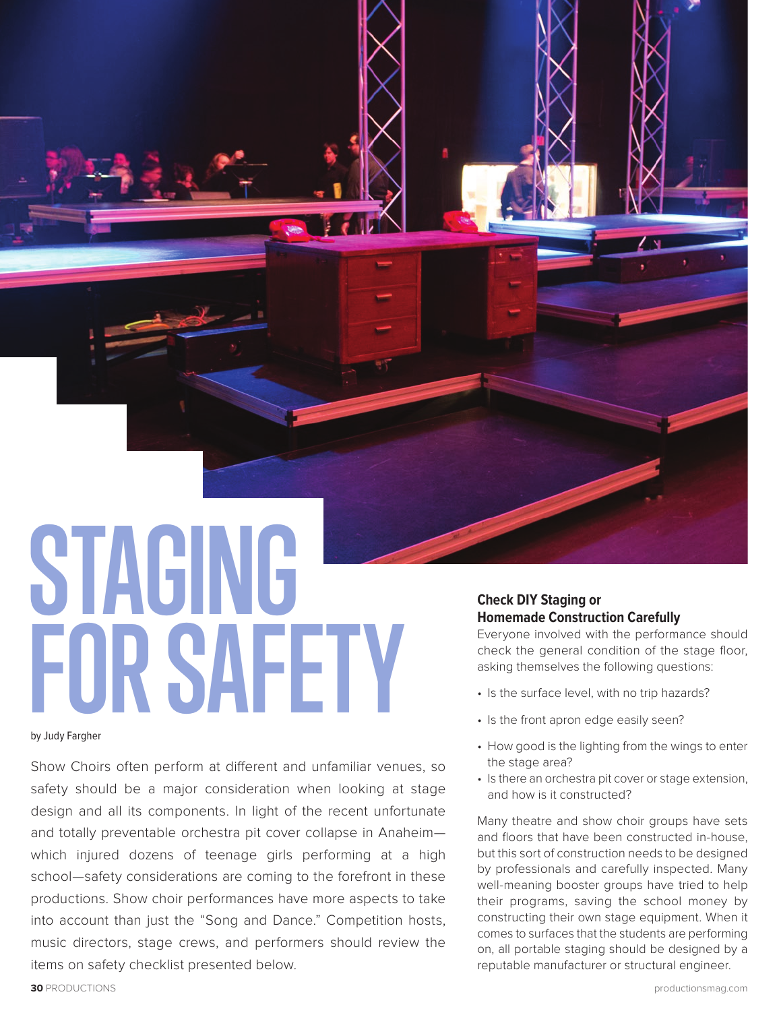**STAGING FOR SAFETY**

by Judy Fargher

Show Choirs often perform at different and unfamiliar venues, so safety should be a major consideration when looking at stage design and all its components. In light of the recent unfortunate and totally preventable orchestra pit cover collapse in Anaheim which injured dozens of teenage girls performing at a high school—safety considerations are coming to the forefront in these productions. Show choir performances have more aspects to take into account than just the "Song and Dance." Competition hosts, music directors, stage crews, and performers should review the items on safety checklist presented below.

# **Check DIY Staging or Homemade Construction Carefully**

Everyone involved with the performance should check the general condition of the stage floor, asking themselves the following questions:

- Is the surface level, with no trip hazards?
- Is the front apron edge easily seen?
- How good is the lighting from the wings to enter the stage area?
- Is there an orchestra pit cover or stage extension, and how is it constructed?

Many theatre and show choir groups have sets and floors that have been constructed in-house, but this sort of construction needs to be designed by professionals and carefully inspected. Many well-meaning booster groups have tried to help their programs, saving the school money by constructing their own stage equipment. When it comes to surfaces that the students are performing on, all portable staging should be designed by a reputable manufacturer or structural engineer.